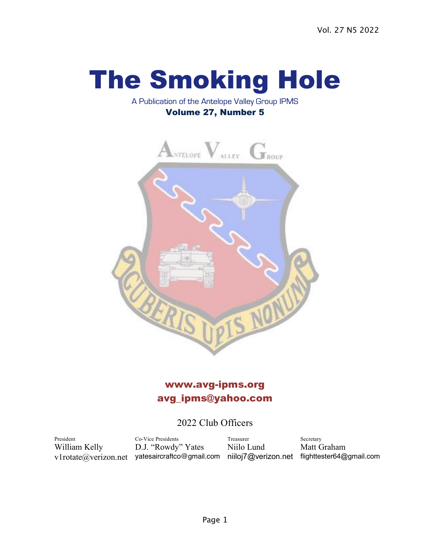# The Smoking Hole

#### A Publication of the Antelope Valley Group IPMS Volume 27, Number 5



# www.avg-ipms.org avg\_ipms@yahoo.com

## 2022 Club Officers

President Co-Vice Presidents Treasurer Secretary William Kelly D.J. "Rowdy" Yates Niilo Lund Matt Graham v1rotate@verizon.net yatesaircraftco@gmail.com niiloj7@verizon.net flighttester64@gmail.com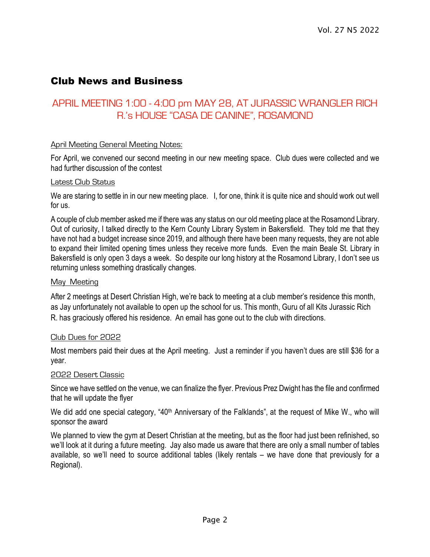## Club News and Business

## APRIL MEETING 1:00 - 4:00 pm MAY 28, AT JURASSIC WRANGLER RICH R.'s HOUSE "CASA DE CANINE", ROSAMOND

#### April Meeting General Meeting Notes:

For April, we convened our second meeting in our new meeting space. Club dues were collected and we had further discussion of the contest

#### Latest Club Status

We are staring to settle in in our new meeting place. I, for one, think it is quite nice and should work out well for us.

A couple of club member asked me if there was any status on our old meeting place at the Rosamond Library. Out of curiosity, I talked directly to the Kern County Library System in Bakersfield. They told me that they have not had a budget increase since 2019, and although there have been many requests, they are not able to expand their limited opening times unless they receive more funds. Even the main Beale St. Library in Bakersfield is only open 3 days a week. So despite our long history at the Rosamond Library, I don't see us returning unless something drastically changes.

#### May Meeting

After 2 meetings at Desert Christian High, we're back to meeting at a club member's residence this month, as Jay unfortunately not available to open up the school for us. This month, Guru of all Kits Jurassic Rich R. has graciously offered his residence. An email has gone out to the club with directions.

#### Club Dues for 2022

Most members paid their dues at the April meeting. Just a reminder if you haven't dues are still \$36 for a year.

#### 2022 Desert Classic

Since we have settled on the venue, we can finalize the flyer. Previous Prez Dwight has the file and confirmed that he will update the flyer

We did add one special category, "40<sup>th</sup> Anniversary of the Falklands", at the request of Mike W., who will sponsor the award

We planned to view the gym at Desert Christian at the meeting, but as the floor had just been refinished, so we'll look at it during a future meeting. Jay also made us aware that there are only a small number of tables available, so we'll need to source additional tables (likely rentals – we have done that previously for a Regional).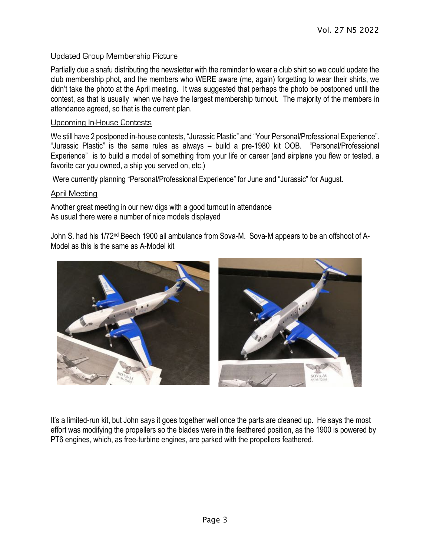#### Updated Group Membership Picture

Partially due a snafu distributing the newsletter with the reminder to wear a club shirt so we could update the club membership phot, and the members who WERE aware (me, again) forgetting to wear their shirts, we didn't take the photo at the April meeting. It was suggested that perhaps the photo be postponed until the contest, as that is usually when we have the largest membership turnout. The majority of the members in attendance agreed, so that is the current plan.

#### Upcoming In-House Contests

We still have 2 postponed in-house contests, "Jurassic Plastic" and "Your Personal/Professional Experience". "Jurassic Plastic" is the same rules as always – build a pre-1980 kit OOB. "Personal/Professional Experience" is to build a model of something from your life or career (and airplane you flew or tested, a favorite car you owned, a ship you served on, etc.)

Were currently planning "Personal/Professional Experience" for June and "Jurassic" for August.

#### April Meeting

Another great meeting in our new digs with a good turnout in attendance As usual there were a number of nice models displayed

John S. had his 1/72nd Beech 1900 ail ambulance from Sova-M. Sova-M appears to be an offshoot of A-Model as this is the same as A-Model kit



It's a limited-run kit, but John says it goes together well once the parts are cleaned up. He says the most effort was modifying the propellers so the blades were in the feathered position, as the 1900 is powered by PT6 engines, which, as free-turbine engines, are parked with the propellers feathered.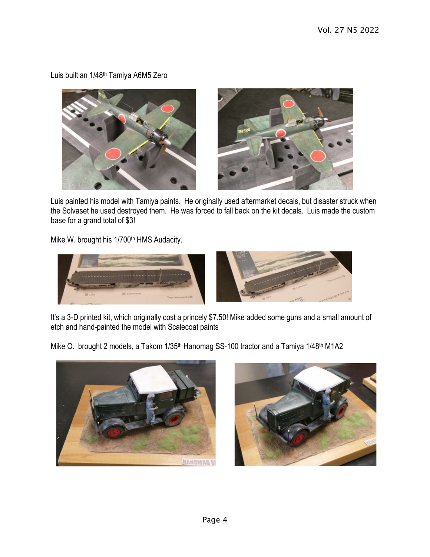Luis built an 1/48th Tamiya A6M5 Zero





Luis painted his model with Tamiya paints. He originally used aftermarket decals, but disaster struck when the Solvaset he used destroyed them. He was forced to fall back on the kit decals. Luis made the custom base for a grand total of \$3!

Mike W. brought his 1/700<sup>th</sup> HMS Audacity.



It's a 3-D printed kit, which originally cost a princely \$7.50! Mike added some guns and a small amount of etch and hand-painted the model with Scalecoat paints

Mike O. brought 2 models, a Takom 1/35<sup>th</sup> Hanomag SS-100 tractor and a Tamiya 1/48<sup>th</sup> M1A2



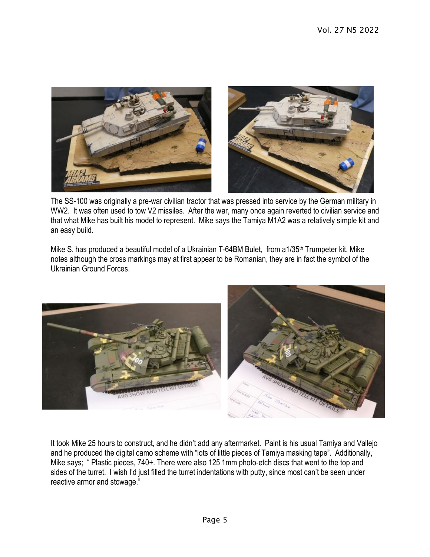

The SS-100 was originally a pre-war civilian tractor that was pressed into service by the German military in WW2. It was often used to tow V2 missiles. After the war, many once again reverted to civilian service and that what Mike has built his model to represent. Mike says the Tamiya M1A2 was a relatively simple kit and an easy build.

Mike S. has produced a beautiful model of a Ukrainian T-64BM Bulet, from a1/35<sup>th</sup> Trumpeter kit. Mike notes although the cross markings may at first appear to be Romanian, they are in fact the symbol of the Ukrainian Ground Forces.



It took Mike 25 hours to construct, and he didn't add any aftermarket. Paint is his usual Tamiya and Vallejo and he produced the digital camo scheme with "lots of little pieces of Tamiya masking tape". Additionally, Mike says; " Plastic pieces, 740+. There were also 125 1mm photo-etch discs that went to the top and sides of the turret. I wish I'd just filled the turret indentations with putty, since most can't be seen under reactive armor and stowage."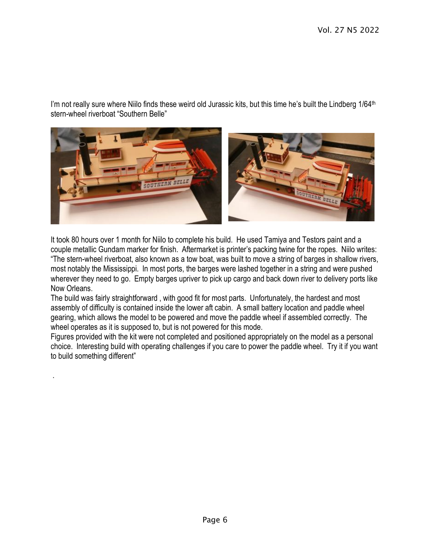I'm not really sure where Niilo finds these weird old Jurassic kits, but this time he's built the Lindberg 1/64<sup>th</sup> stern-wheel riverboat "Southern Belle"



It took 80 hours over 1 month for Niilo to complete his build. He used Tamiya and Testors paint and a couple metallic Gundam marker for finish. Aftermarket is printer's packing twine for the ropes. Niilo writes: "The stern-wheel riverboat, also known as a tow boat, was built to move a string of barges in shallow rivers, most notably the Mississippi. In most ports, the barges were lashed together in a string and were pushed wherever they need to go. Empty barges upriver to pick up cargo and back down river to delivery ports like Now Orleans.

The build was fairly straightforward , with good fit for most parts. Unfortunately, the hardest and most assembly of difficulty is contained inside the lower aft cabin. A small battery location and paddle wheel gearing, which allows the model to be powered and move the paddle wheel if assembled correctly. The wheel operates as it is supposed to, but is not powered for this mode.

Figures provided with the kit were not completed and positioned appropriately on the model as a personal choice. Interesting build with operating challenges if you care to power the paddle wheel. Try it if you want to build something different"

.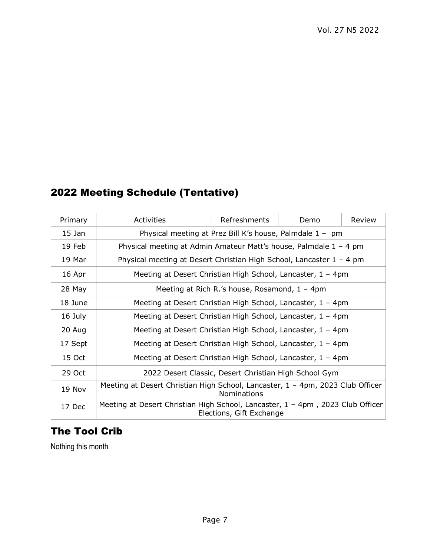# Meeting Schedule (Tentative)

| Primary  | Activities                                                                                                    | Refreshments | Demo | Review |  |
|----------|---------------------------------------------------------------------------------------------------------------|--------------|------|--------|--|
| $15$ Jan | Physical meeting at Prez Bill K's house, Palmdale $1 - pm$                                                    |              |      |        |  |
| 19 Feb   | Physical meeting at Admin Amateur Matt's house, Palmdale $1 - 4$ pm                                           |              |      |        |  |
| 19 Mar   | Physical meeting at Desert Christian High School, Lancaster $1 - 4$ pm                                        |              |      |        |  |
| 16 Apr   | Meeting at Desert Christian High School, Lancaster, 1 - 4pm                                                   |              |      |        |  |
| 28 May   | Meeting at Rich R.'s house, Rosamond, $1 - 4$ pm                                                              |              |      |        |  |
| 18 June  | Meeting at Desert Christian High School, Lancaster, $1 - 4$ pm                                                |              |      |        |  |
| 16 July  | Meeting at Desert Christian High School, Lancaster, $1 - 4$ pm                                                |              |      |        |  |
| 20 Aug   | Meeting at Desert Christian High School, Lancaster, $1 - 4$ pm                                                |              |      |        |  |
| 17 Sept  | Meeting at Desert Christian High School, Lancaster, $1 - 4$ pm                                                |              |      |        |  |
| 15 Oct   | Meeting at Desert Christian High School, Lancaster, 1 - 4pm                                                   |              |      |        |  |
| 29 Oct   | 2022 Desert Classic, Desert Christian High School Gym                                                         |              |      |        |  |
| 19 Nov   | Meeting at Desert Christian High School, Lancaster, 1 - 4pm, 2023 Club Officer<br><b>Nominations</b>          |              |      |        |  |
| 17 Dec   | Meeting at Desert Christian High School, Lancaster, $1 - 4$ pm, 2023 Club Officer<br>Elections, Gift Exchange |              |      |        |  |

# The Tool Crib

Nothing this month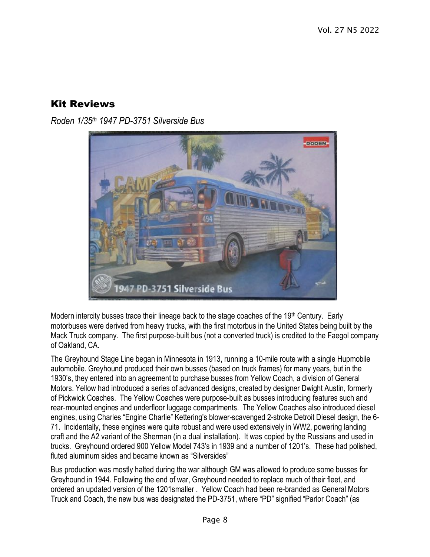## Kit Reviews

*Roden 1/35th 1947 PD-3751 Silverside Bus*



Modern intercity busses trace their lineage back to the stage coaches of the 19th Century. Early motorbuses were derived from heavy trucks, with the first motorbus in the United States being built by the Mack Truck company. The first purpose-built bus (not a converted truck) is credited to the Faegol company of Oakland, CA.

The Greyhound Stage Line began in Minnesota in 1913, running a 10-mile route with a single Hupmobile automobile. Greyhound produced their own busses (based on truck frames) for many years, but in the 1930's, they entered into an agreement to purchase busses from Yellow Coach, a division of General Motors. Yellow had introduced a series of advanced designs, created by designer Dwight Austin, formerly of Pickwick Coaches. The Yellow Coaches were purpose-built as busses introducing features such and rear-mounted engines and underfloor luggage compartments. The Yellow Coaches also introduced diesel engines, using Charles "Engine Charlie" Kettering's blower-scavenged 2-stroke Detroit Diesel design, the 6- 71. Incidentally, these engines were quite robust and were used extensively in WW2, powering landing craft and the A2 variant of the Sherman (in a dual installation). It was copied by the Russians and used in trucks. Greyhound ordered 900 Yellow Model 743's in 1939 and a number of 1201's. These had polished, fluted aluminum sides and became known as "Silversides"

Bus production was mostly halted during the war although GM was allowed to produce some busses for Greyhound in 1944. Following the end of war, Greyhound needed to replace much of their fleet, and ordered an updated version of the 1201smaller . Yellow Coach had been re-branded as General Motors Truck and Coach, the new bus was designated the PD-3751, where "PD" signified "Parlor Coach" (as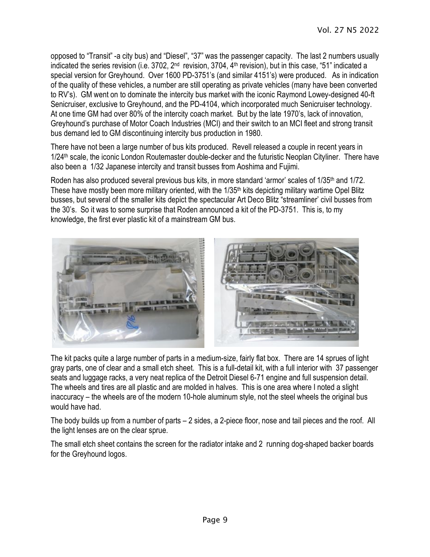opposed to "Transit" -a city bus) and "Diesel", "37" was the passenger capacity. The last 2 numbers usually indicated the series revision (i.e. 3702, 2<sup>nd</sup> revision, 3704, 4<sup>th</sup> revision), but in this case, "51" indicated a special version for Greyhound. Over 1600 PD-3751's (and similar 4151's) were produced. As in indication of the quality of these vehicles, a number are still operating as private vehicles (many have been converted to RV's). GM went on to dominate the intercity bus market with the iconic Raymond Lowey-designed 40-ft Senicruiser, exclusive to Greyhound, and the PD-4104, which incorporated much Senicruiser technology. At one time GM had over 80% of the intercity coach market. But by the late 1970's, lack of innovation, Greyhound's purchase of Motor Coach Industries (MCI) and their switch to an MCI fleet and strong transit bus demand led to GM discontinuing intercity bus production in 1980.

There have not been a large number of bus kits produced. Revell released a couple in recent years in 1/24<sup>th</sup> scale, the iconic London Routemaster double-decker and the futuristic Neoplan Cityliner. There have also been a 1/32 Japanese intercity and transit busses from Aoshima and Fujimi.

Roden has also produced several previous bus kits, in more standard 'armor' scales of 1/35<sup>th</sup> and 1/72. These have mostly been more military oriented, with the 1/35<sup>th</sup> kits depicting military wartime Opel Blitz busses, but several of the smaller kits depict the spectacular Art Deco Blitz "streamliner' civil busses from the 30's. So it was to some surprise that Roden announced a kit of the PD-3751. This is, to my knowledge, the first ever plastic kit of a mainstream GM bus.



The kit packs quite a large number of parts in a medium-size, fairly flat box. There are 14 sprues of light gray parts, one of clear and a small etch sheet. This is a full-detail kit, with a full interior with 37 passenger seats and luggage racks, a very neat replica of the Detroit Diesel 6-71 engine and full suspension detail. The wheels and tires are all plastic and are molded in halves. This is one area where I noted a slight inaccuracy – the wheels are of the modern 10-hole aluminum style, not the steel wheels the original bus would have had.

The body builds up from a number of parts – 2 sides, a 2-piece floor, nose and tail pieces and the roof. All the light lenses are on the clear sprue.

The small etch sheet contains the screen for the radiator intake and 2 running dog-shaped backer boards for the Greyhound logos.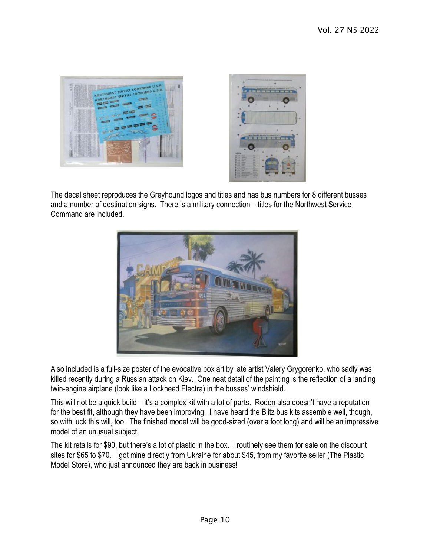



The decal sheet reproduces the Greyhound logos and titles and has bus numbers for 8 different busses and a number of destination signs. There is a military connection – titles for the Northwest Service Command are included.



Also included is a full-size poster of the evocative box art by late artist Valery Grygorenko, who sadly was killed recently during a Russian attack on Kiev. One neat detail of the painting is the reflection of a landing twin-engine airplane (look like a Lockheed Electra) in the busses' windshield.

This will not be a quick build – it's a complex kit with a lot of parts. Roden also doesn't have a reputation for the best fit, although they have been improving. I have heard the Blitz bus kits assemble well, though, so with luck this will, too. The finished model will be good-sized (over a foot long) and will be an impressive model of an unusual subject.

The kit retails for \$90, but there's a lot of plastic in the box. I routinely see them for sale on the discount sites for \$65 to \$70. I got mine directly from Ukraine for about \$45, from my favorite seller (The Plastic Model Store), who just announced they are back in business!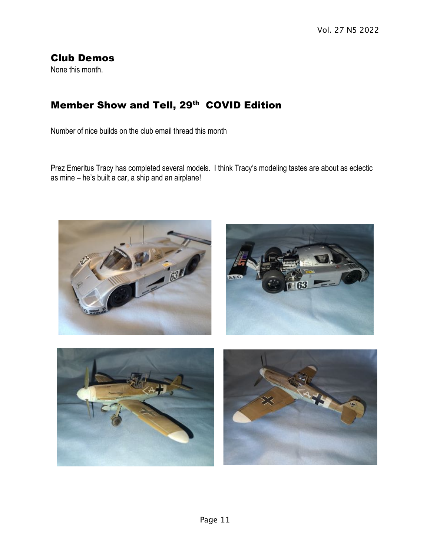## Club Demos

None this month.

# Member Show and Tell, 29<sup>th</sup> COVID Edition

Number of nice builds on the club email thread this month

Prez Emeritus Tracy has completed several models. I think Tracy's modeling tastes are about as eclectic as mine – he's built a car, a ship and an airplane!

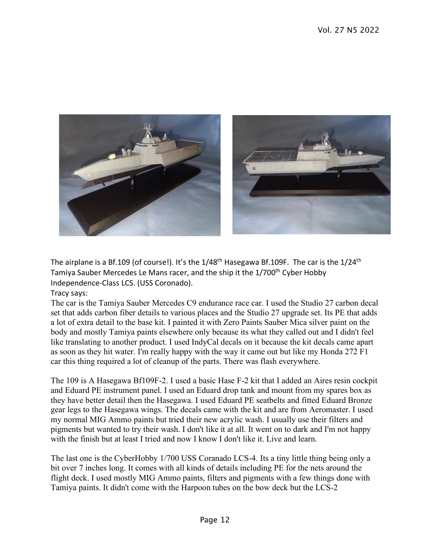

The airplane is a Bf.109 (of course!). It's the  $1/48<sup>th</sup>$  Hasegawa Bf.109F. The car is the  $1/24<sup>th</sup>$ Tamiya Sauber Mercedes Le Mans racer, and the ship it the 1/700<sup>th</sup> Cyber Hobby Independence-Class LCS. (USS Coronado).

Tracy says:

The car is the Tamiya Sauber Mercedes C9 endurance race car. I used the Studio 27 carbon decal set that adds carbon fiber details to various places and the Studio 27 upgrade set. Its PE that adds a lot of extra detail to the base kit. I painted it with Zero Paints Sauber Mica silver paint on the body and mostly Tamiya paints elsewhere only because its what they called out and I didn't feel like translating to another product. I used IndyCal decals on it because the kit decals came apart as soon as they hit water. I'm really happy with the way it came out but like my Honda 272 F1 car this thing required a lot of cleanup of the parts. There was flash everywhere.

The 109 is A Hasegawa Bf109F-2. I used a basic Hase F-2 kit that I added an Aires resin cockpit and Eduard PE instrument panel. I used an Eduard drop tank and mount from my spares box as they have better detail then the Hasegawa. I used Eduard PE seatbelts and fitted Eduard Bronze gear legs to the Hasegawa wings. The decals came with the kit and are from Aeromaster. I used my normal MIG Ammo paints but tried their new acrylic wash. I usually use their filters and pigments but wanted to try their wash. I don't like it at all. It went on to dark and I'm not happy with the finish but at least I tried and now I know I don't like it. Live and learn

The last one is the CyberHobby 1/700 USS Coranado LCS-4. Its a tiny little thing being only a bit over 7 inches long. It comes with all kinds of details including PE for the nets around the flight deck. I used mostly MIG Ammo paints, filters and pigments with a few things done with Tamiya paints. It didn't come with the Harpoon tubes on the bow deck but the LCS-2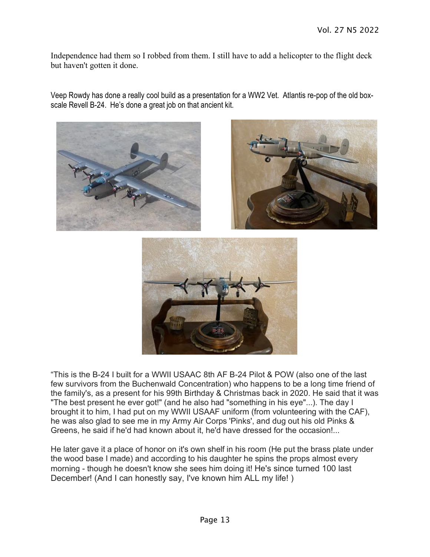Independence had them so I robbed from them. I still have to add a helicopter to the flight deck but haven't gotten it done.

Veep Rowdy has done a really cool build as a presentation for a WW2 Vet. Atlantis re-pop of the old boxscale Revell B-24. He's done a great job on that ancient kit.







"This is the B-24 I built for a WWII USAAC 8th AF B-24 Pilot & POW (also one of the last few survivors from the Buchenwald Concentration) who happens to be a long time friend of the family's, as a present for his 99th Birthday & Christmas back in 2020. He said that it was "The best present he ever got!" (and he also had "something in his eye"...). The day I brought it to him, I had put on my WWII USAAF uniform (from volunteering with the CAF), he was also glad to see me in my Army Air Corps 'Pinks', and dug out his old Pinks & Greens, he said if he'd had known about it, he'd have dressed for the occasion!...

He later gave it a place of honor on it's own shelf in his room (He put the brass plate under the wood base I made) and according to his daughter he spins the props almost every morning - though he doesn't know she sees him doing it! He's since turned 100 last December! (And I can honestly say, I've known him ALL my life! )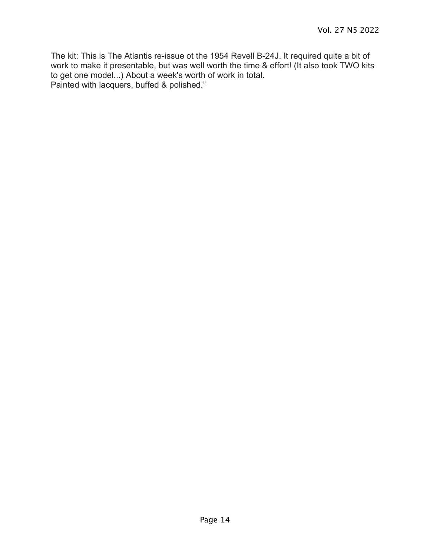The kit: This is The Atlantis re-issue ot the 1954 Revell B-24J. It required quite a bit of work to make it presentable, but was well worth the time & effort! (It also took TWO kits to get one model...) About a week's worth of work in total. Painted with lacquers, buffed & polished."